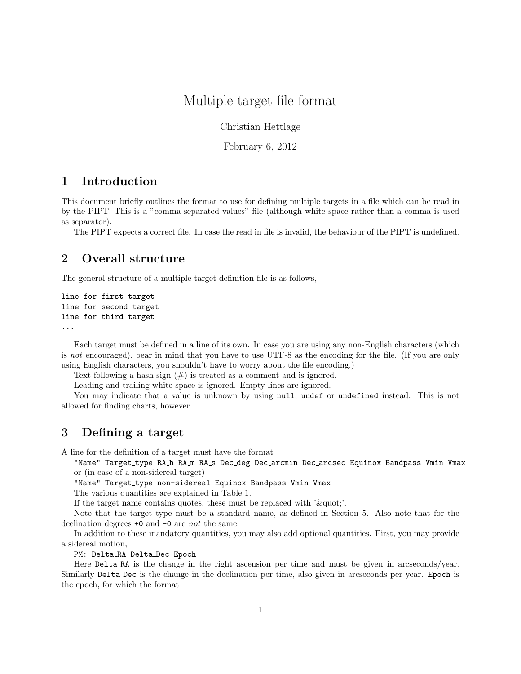# Multiple target file format

Christian Hettlage

February 6, 2012

# 1 Introduction

This document briefly outlines the format to use for defining multiple targets in a file which can be read in by the PIPT. This is a "comma separated values" file (although white space rather than a comma is used as separator).

The PIPT expects a correct file. In case the read in file is invalid, the behaviour of the PIPT is undefined.

# 2 Overall structure

The general structure of a multiple target definition file is as follows,

```
line for first target
line for second target
line for third target
...
```
Each target must be defined in a line of its own. In case you are using any non-English characters (which is not encouraged), bear in mind that you have to use UTF-8 as the encoding for the file. (If you are only using English characters, you shouldn't have to worry about the file encoding.)

Text following a hash sign  $(\#)$  is treated as a comment and is ignored.

Leading and trailing white space is ignored. Empty lines are ignored.

You may indicate that a value is unknown by using null, undef or undefined instead. This is not allowed for finding charts, however.

### 3 Defining a target

A line for the definition of a target must have the format

"Name" Target\_type RA\_h RA\_m RA\_s Dec\_deg Dec\_arcmin Dec\_arcsec Equinox Bandpass Vmin Vmax or (in case of a non-sidereal target)

"Name" Target\_type non-sidereal Equinox Bandpass Vmin Vmax

The various quantities are explained in Table 1.

If the target name contains quotes, these must be replaced with ' $\&$ quot;'.

Note that the target type must be a standard name, as defined in Section 5. Also note that for the declination degrees +0 and -0 are not the same.

In addition to these mandatory quantities, you may also add optional quantities. First, you may provide a sidereal motion,

PM: Delta\_RA Delta\_Dec Epoch

Here Delta RA is the change in the right ascension per time and must be given in arcseconds/year. Similarly Delta Dec is the change in the declination per time, also given in arcseconds per year. Epoch is the epoch, for which the format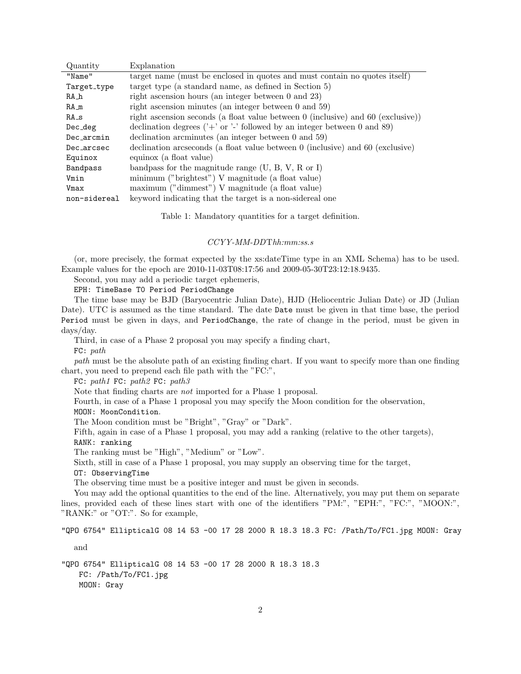| Quantity     | Explanation                                                                               |
|--------------|-------------------------------------------------------------------------------------------|
| "Name"       | target name (must be enclosed in quotes and must contain no quotes itself)                |
| Target_type  | target type (a standard name, as defined in Section 5)                                    |
| $RA_h$       | right ascension hours (an integer between $0$ and $23$ )                                  |
| $RA_m$       | right ascension minutes (an integer between $0$ and $59$ )                                |
| $RA_s$       | right ascension seconds (a float value between $0$ (inclusive) and $60$ (exclusive))      |
| Dec_deg      | declination degrees ( $\prime$ +' or $\prime$ -' followed by an integer between 0 and 89) |
| Dec_arcmin   | declination arcminutes (an integer between $0$ and $59$ )                                 |
| Dec_arcsec   | declination arcseconds (a float value between 0 (inclusive) and 60 (exclusive)            |
| Equinox      | equinox (a float value)                                                                   |
| Bandpass     | bandpass for the magnitude range $(U, B, V, R \text{ or } I)$                             |
| Vmin         | minimum ("brightest") V magnitude (a float value)                                         |
| Vmax         | maximum ("dimmest") V magnitude (a float value)                                           |
| non-sidereal | keyword indicating that the target is a non-sidereal one                                  |

Table 1: Mandatory quantities for a target definition.

#### CCYY-MM-DDThh:mm:ss.s

(or, more precisely, the format expected by the xs:dateTime type in an XML Schema) has to be used. Example values for the epoch are 2010-11-03T08:17:56 and 2009-05-30T23:12:18.9435.

Second, you may add a periodic target ephemeris,

EPH: TimeBase T0 Period PeriodChange

The time base may be BJD (Baryocentric Julian Date), HJD (Heliocentric Julian Date) or JD (Julian Date). UTC is assumed as the time standard. The date **Date** must be given in that time base, the period Period must be given in days, and PeriodChange, the rate of change in the period, must be given in days/day.

Third, in case of a Phase 2 proposal you may specify a finding chart,

FC: path

path must be the absolute path of an existing finding chart. If you want to specify more than one finding chart, you need to prepend each file path with the "FC:",

FC: path1 FC: path2 FC: path3

Note that finding charts are not imported for a Phase 1 proposal.

Fourth, in case of a Phase 1 proposal you may specify the Moon condition for the observation,

MOON: MoonCondition.

The Moon condition must be "Bright", "Gray" or "Dark".

Fifth, again in case of a Phase 1 proposal, you may add a ranking (relative to the other targets), RANK: ranking

The ranking must be "High", "Medium" or "Low".

Sixth, still in case of a Phase 1 proposal, you may supply an observing time for the target,

OT: ObservingTime

The observing time must be a positive integer and must be given in seconds.

You may add the optional quantities to the end of the line. Alternatively, you may put them on separate lines, provided each of these lines start with one of the identifiers "PM:", "EPH:", "FC:", "MOON:", "RANK:" or "OT:". So for example,

"QPO 6754" EllipticalG 08 14 53 -00 17 28 2000 R 18.3 18.3 FC: /Path/To/FC1.jpg MOON: Gray

and

"QPO 6754" EllipticalG 08 14 53 -00 17 28 2000 R 18.3 18.3 FC: /Path/To/FC1.jpg MOON: Gray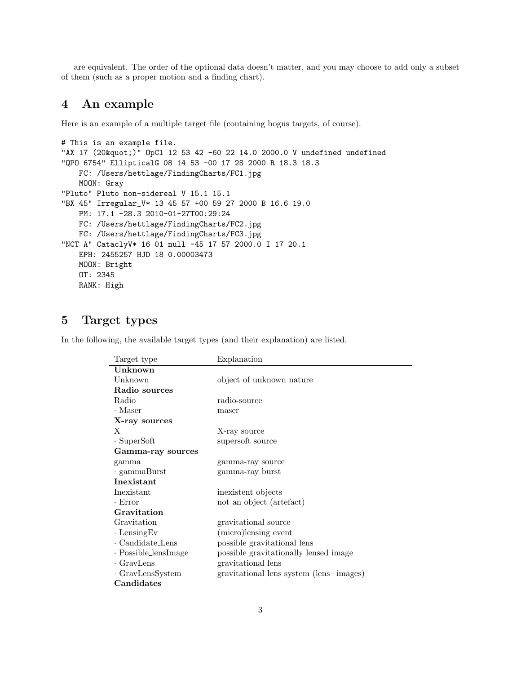are equivalent. The order of the optional data doesn't matter, and you may choose to add only a subset of them (such as a proper motion and a finding chart).

# 4 An example

Here is an example of a multiple target file (containing bogus targets, of course).

```
# This is an example file.
"AX 17 (20 & quot;)" OpCl 12 53 42 -60 22 14.0 2000.0 V undefined undefined
"QPO 6754" EllipticalG 08 14 53 -00 17 28 2000 R 18.3 18.3
   FC: /Users/hettlage/FindingCharts/FC1.jpg
   MOON: Gray
"Pluto" Pluto non-sidereal V 15.1 15.1
"BX 45" Irregular_V* 13 45 57 +00 59 27 2000 B 16.6 19.0
   PM: 17.1 -28.3 2010-01-27T00:29:24
   FC: /Users/hettlage/FindingCharts/FC2.jpg
   FC: /Users/hettlage/FindingCharts/FC3.jpg
"NCT A" CataclyV* 16 01 null -45 17 57 2000.0 I 17 20.1
   EPH: 2455257 HJD 18 0.00003473
   MOON: Bright
   OT: 2345
   RANK: High
```
### 5 Target types

In the following, the available target types (and their explanation) are listed.

| Target type                | Explanation                             |  |  |
|----------------------------|-----------------------------------------|--|--|
| Unknown                    |                                         |  |  |
| Unknown                    | object of unknown nature                |  |  |
| Radio sources              |                                         |  |  |
| Radio                      | radio-source                            |  |  |
| $\cdot$ Maser              | maser                                   |  |  |
| X-ray sources              |                                         |  |  |
| X                          | X-ray source                            |  |  |
| $\cdot$ SuperSoft          | supersoft source                        |  |  |
| Gamma-ray sources          |                                         |  |  |
| gamma                      | gamma-ray source                        |  |  |
| $\cdot$ gammaBurst         | gamma-ray burst                         |  |  |
| Inexistant                 |                                         |  |  |
| Inexistant                 | inexistent objects                      |  |  |
| $\cdot$ Error              | not an object (artefact)                |  |  |
| Gravitation                |                                         |  |  |
| Gravitation                | gravitational source                    |  |  |
| $\cdot$ Lensing Ev         | (micro)lensing event                    |  |  |
| $\cdot$ Candidate_Lens     | possible gravitational lens             |  |  |
| $\cdot$ Possible_lensImage | possible gravitationally lensed image   |  |  |
| $\cdot$ GravLens           | gravitational lens                      |  |  |
| $\cdot$ GravLensSystem     | gravitational lens system (lens+images) |  |  |
| Candidates                 |                                         |  |  |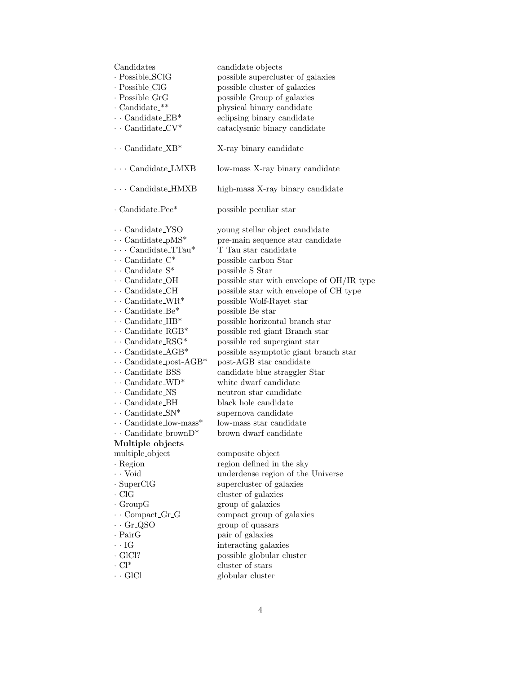| Candidates<br>· Possible_SClG<br>· Possible_ClG<br>$\cdot$ Possible_GrG<br>$\cdot$ Candidate_**<br>$\cdots$ Candidate EB*<br>$\cdots$ Candidate_CV* | candidate objects<br>possible supercluster of galaxies<br>possible cluster of galaxies<br>possible Group of galaxies<br>physical binary candidate<br>eclipsing binary candidate<br>cataclysmic binary candidate |
|-----------------------------------------------------------------------------------------------------------------------------------------------------|-----------------------------------------------------------------------------------------------------------------------------------------------------------------------------------------------------------------|
| $\cdots$ Candidate_XB*                                                                                                                              | X-ray binary candidate                                                                                                                                                                                          |
| $\cdots$ Candidate_LMXB                                                                                                                             | low-mass X-ray binary candidate                                                                                                                                                                                 |
| $\cdots$ Candidate_HMXB                                                                                                                             | high-mass X-ray binary candidate                                                                                                                                                                                |
| $\cdot$ Candidate_Pec*                                                                                                                              | possible peculiar star                                                                                                                                                                                          |
| $\cdots$ Candidate_YSO                                                                                                                              | young stellar object candidate                                                                                                                                                                                  |
| $\cdots$ Candidate_pMS*                                                                                                                             | pre-main sequence star candidate                                                                                                                                                                                |
| $\cdots$ Candidate_TTau*                                                                                                                            | T Tau star candidate                                                                                                                                                                                            |
| $\cdots$ Candidate_ $C^*$                                                                                                                           | possible carbon Star                                                                                                                                                                                            |
| $\cdots$ Candidate_S <sup>*</sup>                                                                                                                   | possible S Star                                                                                                                                                                                                 |
| $\cdot$ . Candidate_OH                                                                                                                              | possible star with envelope of OH/IR type                                                                                                                                                                       |
| $\cdot$ . Candidate_CH                                                                                                                              | possible star with envelope of CH type                                                                                                                                                                          |
| $\cdots$ Candidate_WR <sup>*</sup>                                                                                                                  | possible Wolf-Rayet star                                                                                                                                                                                        |
| $\cdots$ Candidate_Be*                                                                                                                              | possible Be star                                                                                                                                                                                                |
| $\cdots$ Candidate_HB <sup>*</sup>                                                                                                                  | possible horizontal branch star                                                                                                                                                                                 |
| $\cdots$ Candidate_RGB*                                                                                                                             | possible red giant Branch star                                                                                                                                                                                  |
| $\cdots$ Candidate_RSG*                                                                                                                             | possible red supergiant star                                                                                                                                                                                    |
| $\cdots$ Candidate_AGB*                                                                                                                             | possible asymptotic giant branch star                                                                                                                                                                           |
| $\cdots$ Candidate_post-AGB*                                                                                                                        | post-AGB star candidate                                                                                                                                                                                         |
| $\cdots$ Candidate_BSS                                                                                                                              | candidate blue straggler Star                                                                                                                                                                                   |
| $\cdots$ Candidate_WD <sup>*</sup>                                                                                                                  | white dwarf candidate                                                                                                                                                                                           |
| $\cdot$ Candidate_NS                                                                                                                                | neutron star candidate                                                                                                                                                                                          |
| $\cdot$ Candidate_BH                                                                                                                                | black hole candidate                                                                                                                                                                                            |
| $\cdots$ Candidate_SN*                                                                                                                              | supernova candidate                                                                                                                                                                                             |
| $\cdots$ Candidate_low-mass <sup>*</sup>                                                                                                            | low-mass star candidate                                                                                                                                                                                         |
| $\cdots$ Candidate_brown $D^*$                                                                                                                      | brown dwarf candidate                                                                                                                                                                                           |
| Multiple objects                                                                                                                                    |                                                                                                                                                                                                                 |
| multiple_object                                                                                                                                     | composite object                                                                                                                                                                                                |
| $\cdot$ Region                                                                                                                                      | region defined in the sky                                                                                                                                                                                       |
| $\cdot \cdot$ Void                                                                                                                                  | underdense region of the Universe                                                                                                                                                                               |
| $\cdot$ SuperClG                                                                                                                                    | supercluster of galaxies                                                                                                                                                                                        |
| $\cdot$ ClG                                                                                                                                         | cluster of galaxies                                                                                                                                                                                             |
| $\cdot$ GroupG                                                                                                                                      | group of galaxies                                                                                                                                                                                               |
| $\cdots$ Compact_Gr_G                                                                                                                               | compact group of galaxies                                                                                                                                                                                       |
| $\cdot$ Gr_QSO                                                                                                                                      | group of quasars                                                                                                                                                                                                |
| $\cdot$ PairG                                                                                                                                       | pair of galaxies                                                                                                                                                                                                |
| $\cdot$ IG                                                                                                                                          | interacting galaxies                                                                                                                                                                                            |
| $\cdot$ GlCl?                                                                                                                                       | possible globular cluster                                                                                                                                                                                       |
| $\cdot$ Cl <sup>*</sup>                                                                                                                             | cluster of stars                                                                                                                                                                                                |
| $\cdot$ GICl                                                                                                                                        | globular cluster                                                                                                                                                                                                |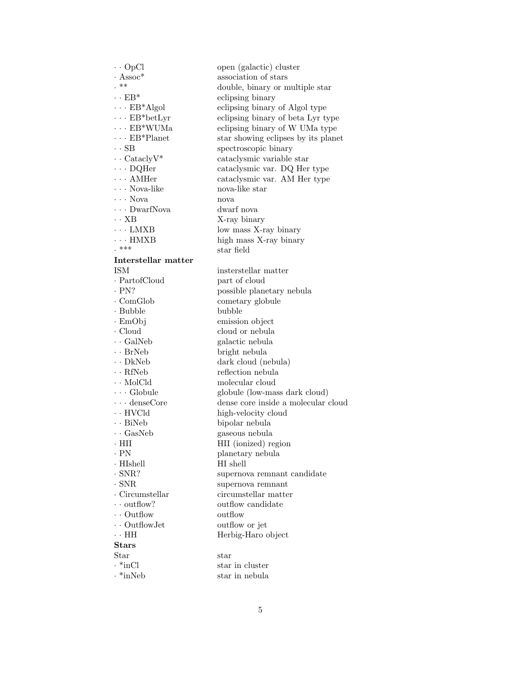| $\cdot \cdot$ OpCl               | open (galactic) cluster             |
|----------------------------------|-------------------------------------|
| $\cdot$ Assoc*                   | association of stars                |
| . **                             | double, binary or multiple star     |
| $\cdot\cdot$ EB*                 | eclipsing binary                    |
| $\cdot$ $\cdot$ $\cdot$ EB*Algol | eclipsing binary of Algol type      |
| $\cdots$ EB*betLyr               | eclipsing binary of beta Lyr type   |
| $\cdots$ EB*WUMa                 | eclipsing binary of W UMa type      |
| $\cdots$ EB*Planet               | star showing eclipses by its planet |
| $\cdot$ SB                       | spectroscopic binary                |
| $\cdot \cdot$ Catacly $V^*$      | cataclysmic variable star           |
| $\cdots$ DQHer                   | cataclysmic var. DQ Her type        |
| $\cdots$ AMHer                   | cataclysmic var. AM Her type        |
| $\cdots$ Nova-like               | nova-like star                      |
| $\cdots$ Nova                    | nova                                |
| $\cdots$ DwarfNova               | dwarf nova                          |
| $\cdot \cdot$ XB                 | X-ray binary                        |
| $\cdots$ LMXB                    | low mass X-ray binary               |
| $\cdots$ HMXB                    | high mass X-ray binary              |
| . ***                            | star field                          |
| Interstellar matter              |                                     |
| <b>ISM</b>                       | insterstellar matter                |
| $\cdot$ PartofCloud              | part of cloud                       |
| $\cdot$ PN?                      | possible planetary nebula           |
| $\cdot$ ComGlob                  | cometary globule                    |
| $\cdot$ Bubble                   | bubble                              |
| $\cdot$ EmObj                    |                                     |
| $\cdot$ Cloud                    | emission object<br>cloud or nebula  |
| $\cdot$ GalNeb                   |                                     |
|                                  | galactic nebula                     |
| $\cdot$ BrNeb                    | bright nebula                       |
| $\cdot$ DkNeb                    | dark cloud (nebula)                 |
| $\cdot$ RfNeb                    | reflection nebula                   |
| $\cdots$ MolCld                  | molecular cloud                     |
| $\cdots$ Globule                 | globule (low-mass dark cloud)       |
| $\cdots$ denseCore               | dense core inside a molecular cloud |
| $\cdot$ HVCld                    | high-velocity cloud                 |
| $\cdot$ BiNeb                    | bipolar nebula                      |
| $\cdot$ GasNeb                   | gaseous nebula                      |
| $\cdot$ HII                      | HII (ionized) region                |
| . PN                             | planetary nebula                    |
| $\cdot$ HIshell                  | HI shell                            |
| $\cdot$ SNR?                     | supernova remnant candidate         |
| $\cdot$ SNR                      | supernova remnant                   |
| $\cdot$ Circumstellar            | circumstellar matter                |
| $\cdots$ outflow?                | outflow candidate                   |
| $\cdot \cdot$ Outflow            | outflow                             |
| $\cdots$ Outflow Jet             | outflow or jet                      |
| $\cdot$ + HH                     | Herbig-Haro object                  |
| $_{\rm Stars}$                   |                                     |
| Star                             | $_{\rm star}$                       |
| $\cdot$ *inCl                    | star in cluster                     |
| $\cdot$ *inNeb                   | star in nebula                      |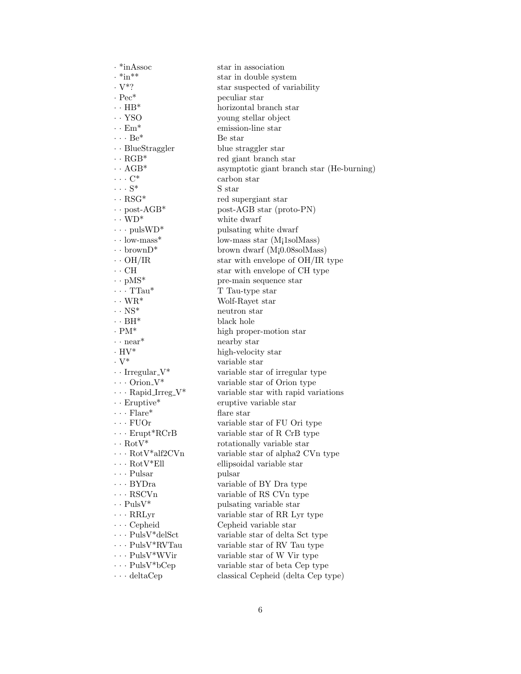| $\cdot$ *inAssoc                                                     | star in association                       |
|----------------------------------------------------------------------|-------------------------------------------|
| $\cdot$ *in**                                                        | star in double system                     |
| $\cdot$ V*?                                                          | star suspected of variability             |
| $\cdot$ Pec <sup>*</sup>                                             | peculiar star                             |
| $\cdot \cdot \text{HB}^*$                                            | horizontal branch star                    |
| $\cdot \cdot$ YSO                                                    | young stellar object                      |
| $\cdot \cdot$ Em <sup>*</sup>                                        | emission-line star                        |
| $\cdots Be^*$                                                        | Be star                                   |
| $\cdots$ BlueStraggler                                               | blue straggler star                       |
| $\cdots$ RGB*                                                        | red giant branch star                     |
| $\cdot \cdot \text{AGB}^*$                                           | asymptotic giant branch star (He-burning) |
| $\cdots$ C <sup>*</sup>                                              | carbon star                               |
| $\cdots$ S <sup>*</sup>                                              | S star                                    |
| $\cdot \cdot \text{RSG}^*$                                           | red supergiant star                       |
| $\cdot \cdot$ post-AGB*                                              | post-AGB star (proto-PN)                  |
| $\cdots$ WD*                                                         | white dwarf                               |
| $\cdots$ pulsWD*                                                     | pulsating white dwarf                     |
| $\cdot \cdot$ low-mass <sup>*</sup>                                  | low-mass star $(Mi1solMass)$              |
| $\cdot \cdot$ brown $D^*$                                            | brown dwarf $(M_1 0.08 \text{sol}$ Mass)  |
| $\cdot \cdot$ OH/IR                                                  | star with envelope of OH/IR type          |
| $\cdot \cdot$ CH                                                     | star with envelope of CH type             |
| $\cdot \cdot$ pMS*                                                   | pre-main sequence star                    |
| $\cdots$ TTau*                                                       | T Tau-type star                           |
| $\cdots$ WR*                                                         | Wolf-Rayet star                           |
| $\cdot \cdot \text{NS}^*$                                            | neutron star                              |
| $\cdot \cdot BH^*$                                                   | black hole                                |
| $\cdot$ PM*                                                          | high proper-motion star                   |
| $\cdots$ near <sup>*</sup>                                           | nearby star                               |
| $\cdot$ HV*                                                          | high-velocity star                        |
| $\cdot$ V <sup>*</sup>                                               | variable star                             |
|                                                                      |                                           |
| $\cdots$ Irregular <sub>-V</sub> *<br>$\cdots$ Orion <sub>-V</sub> * | variable star of irregular type           |
| $\cdots$ Rapid_Irreg_V*                                              | variable star of Orion type               |
|                                                                      | variable star with rapid variations       |
| $\cdot$ Eruptive*                                                    | eruptive variable star                    |
| $\cdots$ Flare*                                                      | flare star                                |
| $\cdots$ FUOr                                                        | variable star of FU Ori type              |
| $\cdots$ Erupt*RCrB                                                  | variable star of R CrB type               |
| $\cdot \cdot \text{RotV*}$                                           | rotationally variable star                |
| $\cdot$ $\cdot$ $\cdot$ RotV*alf2CVn                                 | variable star of alpha2 CVn type          |
| $\cdots$ Rot $V^*$ Ell                                               | ellipsoidal variable star                 |
| $\cdots$ Pulsar                                                      | pulsar                                    |
| $\cdots$ BYDra                                                       | variable of BY Dra type                   |
| $\cdots$ RSCVn                                                       | variable of RS CVn type                   |
| $\cdot$ $\cdot$ PulsV*                                               | pulsating variable star                   |
| $\cdots$ RRLyr                                                       | variable star of RR Lyr type              |
| $\cdots$ Cepheid                                                     | Cepheid variable star                     |
| $\cdots$ PulsV*delSct                                                | variable star of delta Sct type           |
| $\cdots$ PulsV*RVTau                                                 | variable star of RV Tau type              |
| $\cdots$ PulsV*WVir                                                  | variable star of W Vir type               |
| $\cdots$ PulsV*bCep                                                  | variable star of beta Cep type            |
| $\cdots$ deltaCep                                                    | classical Cepheid (delta Cep type)        |
|                                                                      |                                           |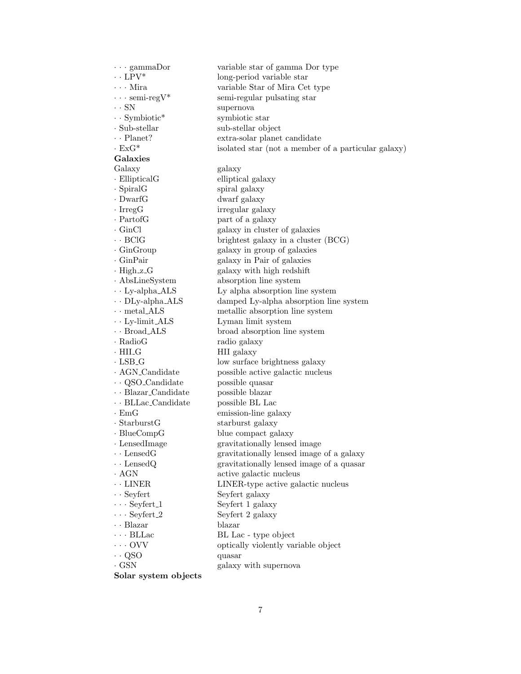· · · gammaDor variable star of gamma Dor type  $\cdot \cdot$  LPV\* long-period variable star · · · Mira variable Star of Mira Cet type  $\cdots$  semi-regular pulsating star · · SN supernova · · Symbiotic\* symbiotic star · Sub-stellar sub-stellar object · · Planet? extra-solar planet candidate · ExG\* isolated star (not a member of a particular galaxy) Galaxies Galaxy galaxy · EllipticalG elliptical galaxy · SpiralG spiral galaxy · DwarfG dwarf galaxy · Irregular galaxy · PartofG part of a galaxy · GinCl galaxy in cluster of galaxies · · BClG brightest galaxy in a cluster (BCG) · GinGroup galaxy in group of galaxies · GinPair galaxy in Pair of galaxies · High\_z\_G galaxy with high redshift · AbsLineSystem absorption line system  $\cdot$  · Ly-alpha ALS Ly alpha absorption line system · · DLy-alpha ALS damped Ly-alpha absorption line system  $\cdot$  · metal\_ALS metallic absorption line system  $\cdot$  Ly-limit\_ALS Lyman limit system  $\cdot$  · Broad ALS broad absorption line system · RadioG radio galaxy · HILG HII galaxy · LSB G low surface brightness galaxy · AGN Candidate possible active galactic nucleus · · QSO Candidate possible quasar · · Blazar Candidate possible blazar · · BLLac Candidate possible BL Lac · EmG emission-line galaxy · StarburstG starburst galaxy · BlueCompG blue compact galaxy · LensedImage gravitationally lensed image · · LensedG gravitationally lensed image of a galaxy · · LensedQ gravitationally lensed image of a quasar · AGN active galactic nucleus · · LINER LINER-type active galactic nucleus • Seyfert Seyfert galaxy · · · Seyfert 1 Seyfert 1 galaxy  $\cdots$  Seyfert 2 galaxy · · Blazar blazar  $\cdots$  BL Lac - type object · · · OVV optically violently variable object · · QSO quasar · GSN galaxy with supernova Solar system objects

7